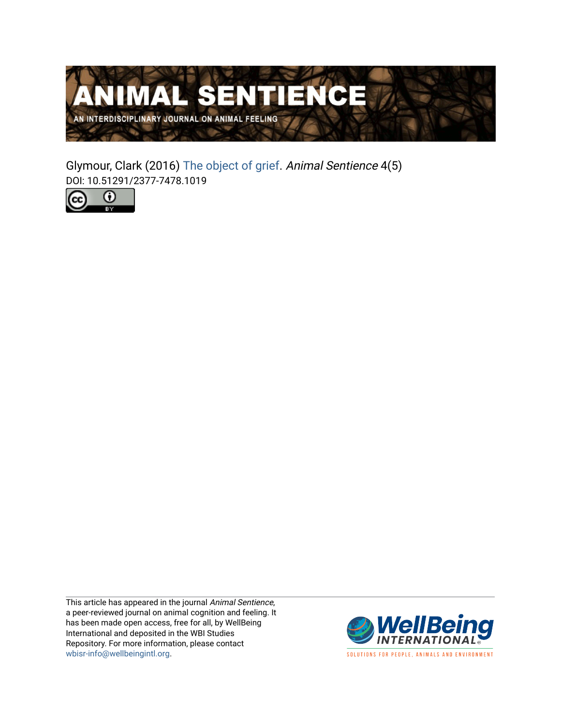

Glymour, Clark (2016) [The object of grief](https://www.wellbeingintlstudiesrepository.org/animsent/vol1/iss4/5). Animal Sentience 4(5) DOI: 10.51291/2377-7478.1019



This article has appeared in the journal Animal Sentience, a peer-reviewed journal on animal cognition and feeling. It has been made open access, free for all, by WellBeing International and deposited in the WBI Studies Repository. For more information, please contact [wbisr-info@wellbeingintl.org](mailto:wbisr-info@wellbeingintl.org).



SOLUTIONS FOR PEOPLE, ANIMALS AND ENVIRONMENT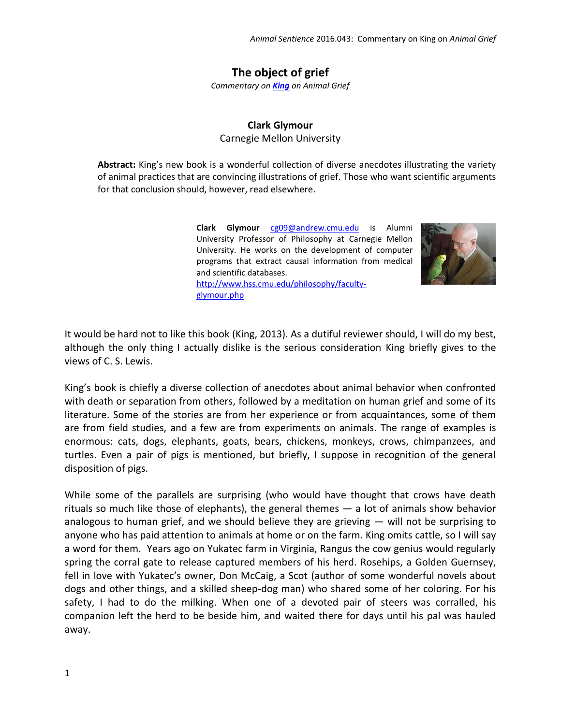## **The object of grief**

*Commentary on [King](http://animalstudiesrepository.org/animsent/vol1/iss4/1/) on Animal Grief*

## **Clark Glymour**

Carnegie Mellon University

**Abstract:** King's new book is a wonderful collection of diverse anecdotes illustrating the variety of animal practices that are convincing illustrations of grief. Those who want scientific arguments for that conclusion should, however, read elsewhere.

> **Clark Glymour** [cg09@andrew.cmu.edu](file:///C:/Users/Ann/AppData/Local/Temp/cg09@andrew.cmu.edu) is Alumni University Professor of Philosophy at Carnegie Mellon University. He works on the development of computer programs that extract causal information from medical and scientific databases.

[http://www.hss.cmu.edu/philosophy/faculty](http://www.hss.cmu.edu/philosophy/faculty-glymour.php)[glymour.php](http://www.hss.cmu.edu/philosophy/faculty-glymour.php)



It would be hard not to like this book (King, 2013). As a dutiful reviewer should, I will do my best, although the only thing I actually dislike is the serious consideration King briefly gives to the views of C. S. Lewis.

King's book is chiefly a diverse collection of anecdotes about animal behavior when confronted with death or separation from others, followed by a meditation on human grief and some of its literature. Some of the stories are from her experience or from acquaintances, some of them are from field studies, and a few are from experiments on animals. The range of examples is enormous: cats, dogs, elephants, goats, bears, chickens, monkeys, crows, chimpanzees, and turtles. Even a pair of pigs is mentioned, but briefly, I suppose in recognition of the general disposition of pigs.

While some of the parallels are surprising (who would have thought that crows have death rituals so much like those of elephants), the general themes — a lot of animals show behavior analogous to human grief, and we should believe they are grieving — will not be surprising to anyone who has paid attention to animals at home or on the farm. King omits cattle, so I will say a word for them. Years ago on Yukatec farm in Virginia, Rangus the cow genius would regularly spring the corral gate to release captured members of his herd. Rosehips, a Golden Guernsey, fell in love with Yukatec's owner, Don McCaig, a Scot (author of some wonderful novels about dogs and other things, and a skilled sheep-dog man) who shared some of her coloring. For his safety, I had to do the milking. When one of a devoted pair of steers was corralled, his companion left the herd to be beside him, and waited there for days until his pal was hauled away.